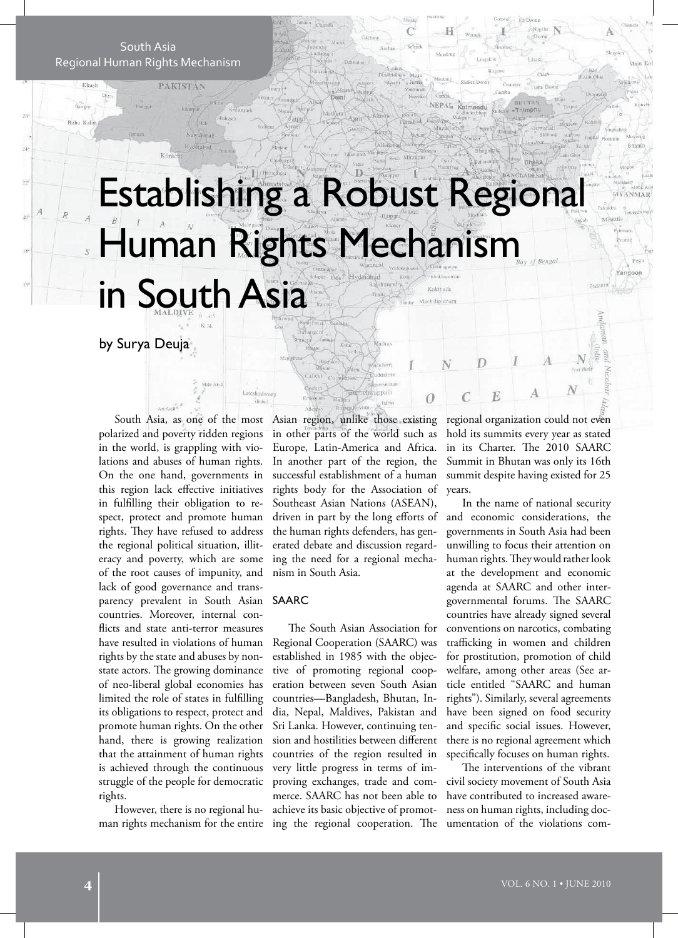South Asia Regional Human Rights Mechanism

 $\frac{1}{2}$ 

 $\bar{\mathcal{W}}$ 

À  $\overline{\mathcal{R}}$ 

**PAKISTAN** 

# Establishing a Robust Regional Human Rights Mechanism in South Asia Kakinada

 $\overline{C}$ Selimi

by Surya Deuja

South Asia, as one of the most polarized and poverty ridden regions in the world, is grappling with violations and abuses of human rights. On the one hand, governments in this region lack effective initiatives in fulfilling their obligation to respect, protect and promote human rights. They have refused to address the regional political situation, illiteracy and poverty, which are some of the root causes of impunity, and lack of good governance and transparency prevalent in South Asian countries. Moreover, internal conflicts and state anti-terror measures have resulted in violations of human rights by the state and abuses by nonstate actors. The growing dominance of neo-liberal global economies has limited the role of states in fulfilling its obligations to respect, protect and promote human rights. On the other hand, there is growing realization that the attainment of human rights is achieved through the continuous struggle of the people for democratic rights.

However, there is no regional human rights mechanism for the entire

Asian region, unlike those existing in other parts of the world such as Europe, Latin-America and Africa. In another part of the region, the successful establishment of a human rights body for the Association of Southeast Asian Nations (ASEAN), driven in part by the long efforts of the human rights defenders, has generated debate and discussion regarding the need for a regional mechanism in South Asia.

appall

### SAARC

Lakshadwe

**Gradua** 

The South Asian Association for Regional Cooperation (SAARC) was established in 1985 with the objective of promoting regional cooperation between seven South Asian countries—Bangladesh, Bhutan, India, Nepal, Maldives, Pakistan and Sri Lanka. However, continuing tension and hostilities between different countries of the region resulted in very little progress in terms of improving exchanges, trade and commerce. SAARC has not been able to achieve its basic objective of promoting the regional cooperation. The

regional organization could not even hold its summits every year as stated in its Charter. The 2010 SAARC Summit in Bhutan was only its 16th summit despite having existed for 25 years.

E

C

0

In the name of national security and economic considerations, the governments in South Asia had been unwilling to focus their attention on human rights. They would rather look at the development and economic agenda at SAARC and other intergovernmental forums. The SAARC countries have already signed several conventions on narcotics, combating trafficking in women and children for prostitution, promotion of child welfare, among other areas (See article entitled "SAARC and human rights"). Similarly, several agreements have been signed on food security and specific social issues. However, there is no regional agreement which specifically focuses on human rights.

The interventions of the vibrant civil society movement of South Asia have contributed to increased awareness on human rights, including documentation of the violations com-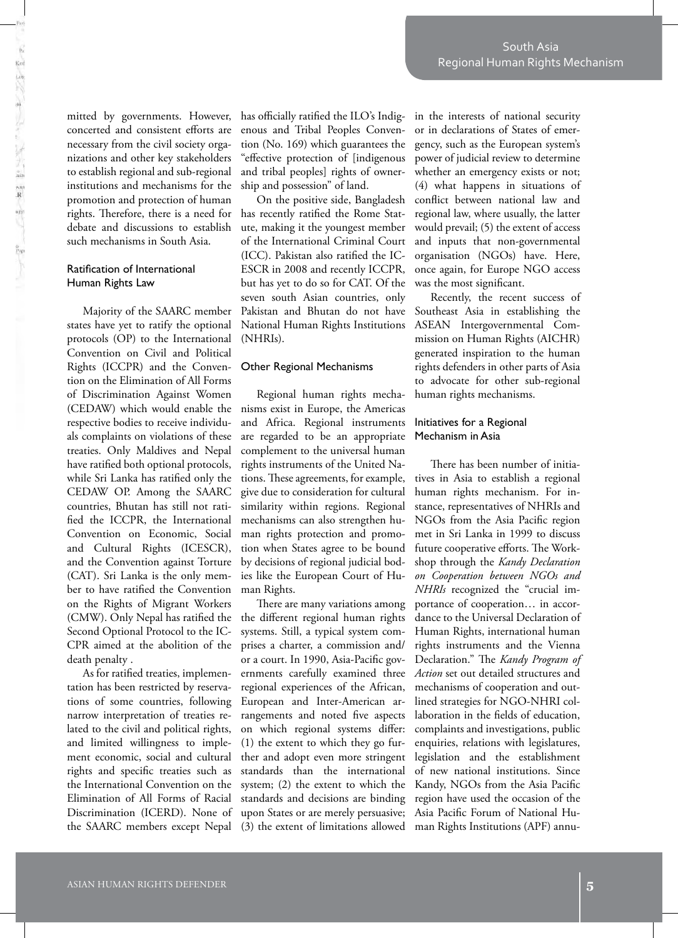mitted by governments. However, concerted and consistent efforts are necessary from the civil society organizations and other key stakeholders to establish regional and sub-regional institutions and mechanisms for the promotion and protection of human rights. Therefore, there is a need for has recently ratified the Rome Statdebate and discussions to establish such mechanisms in South Asia.

## Ratification of International Human Rights Law

Majority of the SAARC member states have yet to ratify the optional protocols (OP) to the International Convention on Civil and Political Rights (ICCPR) and the Convention on the Elimination of All Forms of Discrimination Against Women (CEDAW) which would enable the respective bodies to receive individuals complaints on violations of these treaties. Only Maldives and Nepal have ratified both optional protocols, while Sri Lanka has ratified only the CEDAW OP. Among the SAARC countries, Bhutan has still not ratified the ICCPR, the International Convention on Economic, Social and Cultural Rights (ICESCR), and the Convention against Torture (CAT). Sri Lanka is the only member to have ratified the Convention on the Rights of Migrant Workers (CMW). Only Nepal has ratified the Second Optional Protocol to the IC-CPR aimed at the abolition of the death penalty .

As for ratified treaties, implementation has been restricted by reservations of some countries, following narrow interpretation of treaties related to the civil and political rights, and limited willingness to implement economic, social and cultural rights and specific treaties such as the International Convention on the Elimination of All Forms of Racial Discrimination (ICERD). None of the SAARC members except Nepal

has officially ratified the ILO's Indigenous and Tribal Peoples Convention (No. 169) which guarantees the "effective protection of [indigenous and tribal peoples] rights of ownership and possession" of land.

On the positive side, Bangladesh ute, making it the youngest member of the International Criminal Court (ICC). Pakistan also ratified the IC-ESCR in 2008 and recently ICCPR, but has yet to do so for CAT. Of the seven south Asian countries, only Pakistan and Bhutan do not have National Human Rights Institutions (NHRIs).

## Other Regional Mechanisms

Regional human rights mechanisms exist in Europe, the Americas and Africa. Regional instruments are regarded to be an appropriate complement to the universal human rights instruments of the United Nations. These agreements, for example, give due to consideration for cultural similarity within regions. Regional mechanisms can also strengthen human rights protection and promotion when States agree to be bound by decisions of regional judicial bodies like the European Court of Human Rights.

There are many variations among the different regional human rights systems. Still, a typical system comprises a charter, a commission and/ or a court. In 1990, Asia-Pacific governments carefully examined three regional experiences of the African, European and Inter-American arrangements and noted five aspects on which regional systems differ: (1) the extent to which they go further and adopt even more stringent standards than the international system; (2) the extent to which the standards and decisions are binding upon States or are merely persuasive;

in the interests of national security or in declarations of States of emergency, such as the European system's power of judicial review to determine whether an emergency exists or not; (4) what happens in situations of conflict between national law and regional law, where usually, the latter would prevail; (5) the extent of access and inputs that non-governmental organisation (NGOs) have. Here, once again, for Europe NGO access was the most significant.

Recently, the recent success of Southeast Asia in establishing the ASEAN Intergovernmental Commission on Human Rights (AICHR) generated inspiration to the human rights defenders in other parts of Asia to advocate for other sub-regional human rights mechanisms.

#### Initiatives for a Regional Mechanism in Asia

(3) the extent of limitations allowed man Rights Institutions (APF) annu-There has been number of initiatives in Asia to establish a regional human rights mechanism. For instance, representatives of NHRIs and NGOs from the Asia Pacific region met in Sri Lanka in 1999 to discuss future cooperative efforts. The Workshop through the *Kandy Declaration on Cooperation between NGOs and NHRIs* recognized the "crucial importance of cooperation… in accordance to the Universal Declaration of Human Rights, international human rights instruments and the Vienna Declaration." The *Kandy Program of Action* set out detailed structures and mechanisms of cooperation and outlined strategies for NGO-NHRI collaboration in the fields of education, complaints and investigations, public enquiries, relations with legislatures, legislation and the establishment of new national institutions. Since Kandy, NGOs from the Asia Pacific region have used the occasion of the Asia Pacific Forum of National Hu-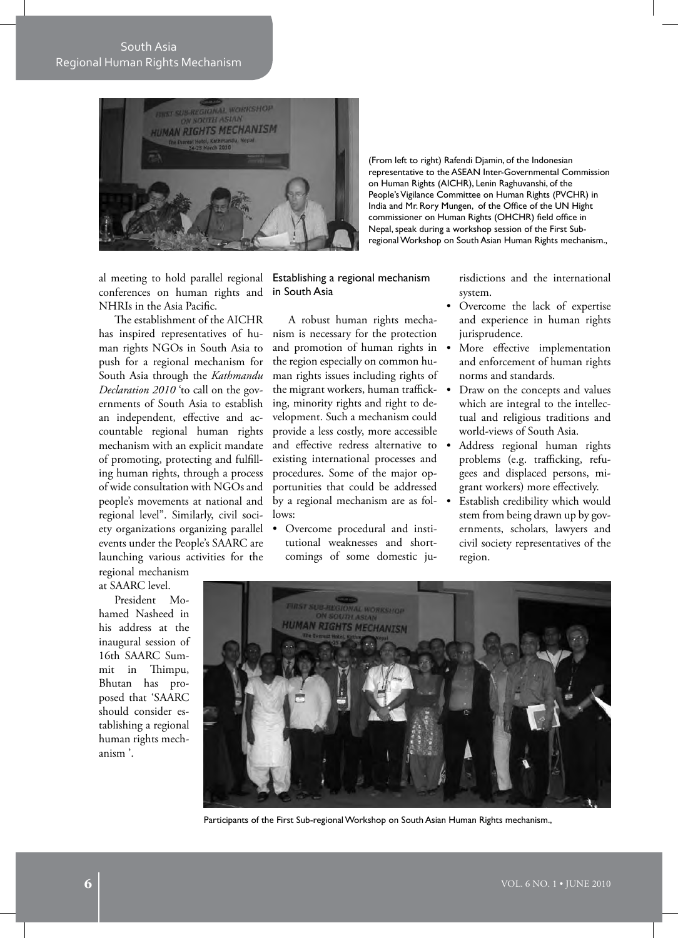South Asia Regional Human Rights Mechanism



(From left to right) Rafendi Djamin, of the Indonesian representative to the ASEAN Inter-Governmental Commission on Human Rights (AICHR), Lenin Raghuvanshi, of the People's Vigilance Committee on Human Rights (PVCHR) in India and Mr. Rory Mungen, of the Office of the UN Hight commissioner on Human Rights (OHCHR) field office in Nepal, speak during a workshop session of the First Subregional Workshop on South Asian Human Rights mechanism.,

al meeting to hold parallel regional conferences on human rights and in South Asia NHRIs in the Asia Pacific.

The establishment of the AICHR has inspired representatives of human rights NGOs in South Asia to push for a regional mechanism for South Asia through the *Kathmandu Declaration 2010* 'to call on the governments of South Asia to establish an independent, effective and accountable regional human rights mechanism with an explicit mandate of promoting, protecting and fulfilling human rights, through a process of wide consultation with NGOs and people's movements at national and regional level". Similarly, civil society organizations organizing parallel events under the People's SAARC are launching various activities for the

regional mechanism at SAARC level.

President Mohamed Nasheed in his address at the inaugural session of 16th SAARC Summit in Thimpu, Bhutan has proposed that 'SAARC should consider establishing a regional human rights mechanism '.

Establishing a regional mechanism

A robust human rights mechanism is necessary for the protection and promotion of human rights in the region especially on common human rights issues including rights of the migrant workers, human trafficking, minority rights and right to development. Such a mechanism could provide a less costly, more accessible and effective redress alternative to  $\bullet$ existing international processes and procedures. Some of the major opportunities that could be addressed by a regional mechanism are as follows:

• Overcome procedural and institutional weaknesses and shortcomings of some domestic jurisdictions and the international system.

- Overcome the lack of expertise and experience in human rights jurisprudence.
- More effective implementation and enforcement of human rights norms and standards.
- Draw on the concepts and values which are integral to the intellectual and religious traditions and world-views of South Asia.
- Address regional human rights problems (e.g. trafficking, refugees and displaced persons, migrant workers) more effectively.
- Establish credibility which would stem from being drawn up by governments, scholars, lawyers and civil society representatives of the region.



Participants of the First Sub-regional Workshop on South Asian Human Rights mechanism.,